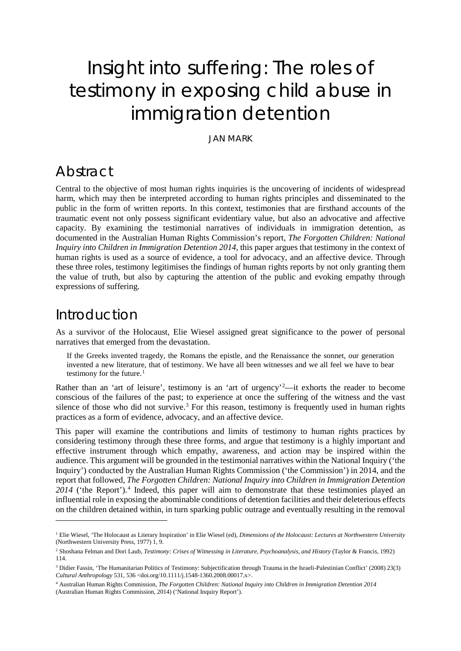# Insight into suffering: The roles of testimony in exposing child abuse in immigration detention

JAN MARK

#### Abstract

Central to the objective of most human rights inquiries is the uncovering of incidents of widespread harm, which may then be interpreted according to human rights principles and disseminated to the public in the form of written reports. In this context, testimonies that are firsthand accounts of the traumatic event not only possess significant evidentiary value, but also an advocative and affective capacity. By examining the testimonial narratives of individuals in immigration detention, as documented in the Australian Human Rights Commission's report, *The Forgotten Children: National Inquiry into Children in Immigration Detention 2014*, this paper argues that testimony in the context of human rights is used as a source of evidence, a tool for advocacy, and an affective device. Through these three roles, testimony legitimises the findings of human rights reports by not only granting them the value of truth, but also by capturing the attention of the public and evoking empathy through expressions of suffering.

### Introduction

-

As a survivor of the Holocaust, Elie Wiesel assigned great significance to the power of personal narratives that emerged from the devastation.

If the Greeks invented tragedy, the Romans the epistle, and the Renaissance the sonnet, our generation invented a new literature, that of testimony. We have all been witnesses and we all feel we have to bear testimony for the future. $<sup>1</sup>$  $<sup>1</sup>$  $<sup>1</sup>$ </sup>

Rather than an 'art of leisure', testimony is an 'art of urgency'<sup>[2](#page-0-1)</sup>—it exhorts the reader to become conscious of the failures of the past; to experience at once the suffering of the witness and the vast silence of those who did not survive.<sup>[3](#page-0-2)</sup> For this reason, testimony is frequently used in human rights practices as a form of evidence, advocacy, and an affective device.

This paper will examine the contributions and limits of testimony to human rights practices by considering testimony through these three forms, and argue that testimony is a highly important and effective instrument through which empathy, awareness, and action may be inspired within the audience. This argument will be grounded in the testimonial narratives within the National Inquiry ('the Inquiry') conducted by the Australian Human Rights Commission ('the Commission') in 2014, and the report that followed, *The Forgotten Children: National Inquiry into Children in Immigration Detention*  201[4](#page-0-3) ('the Report').<sup>4</sup> Indeed, this paper will aim to demonstrate that these testimonies played an influential role in exposing the abominable conditions of detention facilities and their deleterious effects on the children detained within, in turn sparking public outrage and eventually resulting in the removal

<span id="page-0-0"></span><sup>&</sup>lt;sup>1</sup> Elie Wiesel, 'The Holocaust as Literary Inspiration' in Elie Wiesel (ed), *Dimensions of the Holocaust: Lectures at Northwestern University* (Northwestern University Press, 1977) 1, 9.

<span id="page-0-1"></span><sup>2</sup> Shoshana Felman and Dori Laub, *Testimony: Crises of Witnessing in Literature, Psychoanalysis, and History* (Taylor & Francis, 1992) 114.

<span id="page-0-2"></span><sup>&</sup>lt;sup>3</sup> Didier Fassin, 'The Humanitarian Politics of Testimony: Subjectification through Trauma in the Israeli-Palestinian Conflict' (2008) 23(3) *Cultural Anthropology* 531, 536 <doi.org/10.1111/j.1548-1360.2008.00017.x>.

<span id="page-0-3"></span><sup>4</sup> Australian Human Rights Commission, *The Forgotten Children: National Inquiry into Children in Immigration Detention 2014* (Australian Human Rights Commission, 2014) ('National Inquiry Report').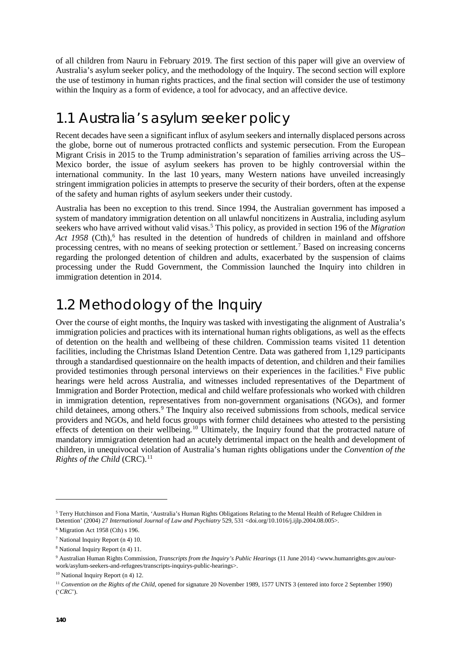of all children from Nauru in February 2019. The first section of this paper will give an overview of Australia's asylum seeker policy, and the methodology of the Inquiry. The second section will explore the use of testimony in human rights practices, and the final section will consider the use of testimony within the Inquiry as a form of evidence, a tool for advocacy, and an affective device.

## 1.1 Australia's asylum seeker policy

Recent decades have seen a significant influx of asylum seekers and internally displaced persons across the globe, borne out of numerous protracted conflicts and systemic persecution. From the European Migrant Crisis in 2015 to the Trump administration's separation of families arriving across the US– Mexico border, the issue of asylum seekers has proven to be highly controversial within the international community. In the last 10 years, many Western nations have unveiled increasingly stringent immigration policies in attempts to preserve the security of their borders, often at the expense of the safety and human rights of asylum seekers under their custody.

Australia has been no exception to this trend. Since 1994, the Australian government has imposed a system of mandatory immigration detention on all unlawful noncitizens in Australia, including asylum seekers who have arrived without valid visas.[5](#page-1-0) This policy, as provided in section 196 of the *Migration*  Act 1958 (Cth),<sup>[6](#page-1-1)</sup> has resulted in the detention of hundreds of children in mainland and offshore processing centres, with no means of seeking protection or settlement.[7](#page-1-2) Based on increasing concerns regarding the prolonged detention of children and adults, exacerbated by the suspension of claims processing under the Rudd Government, the Commission launched the Inquiry into children in immigration detention in 2014.

# 1.2 Methodology of the Inquiry

Over the course of eight months, the Inquiry was tasked with investigating the alignment of Australia's immigration policies and practices with its international human rights obligations, as well as the effects of detention on the health and wellbeing of these children. Commission teams visited 11 detention facilities, including the Christmas Island Detention Centre. Data was gathered from 1,129 participants through a standardised questionnaire on the health impacts of detention, and children and their families provided testimonies through personal interviews on their experiences in the facilities.[8](#page-1-3) Five public hearings were held across Australia, and witnesses included representatives of the Department of Immigration and Border Protection, medical and child welfare professionals who worked with children in immigration detention, representatives from non-government organisations (NGOs), and former child detainees, among others.<sup>[9](#page-1-4)</sup> The Inquiry also received submissions from schools, medical service providers and NGOs, and held focus groups with former child detainees who attested to the persisting effects of detention on their wellbeing.<sup>[10](#page-1-5)</sup> Ultimately, the Inquiry found that the protracted nature of mandatory immigration detention had an acutely detrimental impact on the health and development of children, in unequivocal violation of Australia's human rights obligations under the *Convention of the Rights of the Child* (CRC).<sup>[11](#page-1-6)</sup>

<span id="page-1-0"></span><sup>5</sup> Terry Hutchinson and Fiona Martin, 'Australia's Human Rights Obligations Relating to the Mental Health of Refugee Children in Detention' (2004) 27 *International Journal of Law and Psychiatry* 529, 531 <doi.org/10.1016/j.ijlp.2004.08.005>.

<span id="page-1-1"></span> $6$  Migration Act 1958 (Cth) s 196.

<span id="page-1-2"></span><sup>7</sup> National Inquiry Report (n 4) 10.

<span id="page-1-3"></span><sup>8</sup> National Inquiry Report (n 4) 11.

<span id="page-1-4"></span><sup>9</sup> Australian Human Rights Commission, *Transcripts from the Inquiry's Public Hearings* (11 June 2014) <www.humanrights.gov.au/ourwork/asylum-seekers-and-refugees/transcripts-inquirys-public-hearings>.

<span id="page-1-5"></span> $10$  National Inquiry Report (n 4) 12.

<span id="page-1-6"></span><sup>&</sup>lt;sup>11</sup> Convention on the Rights of the Child, opened for signature 20 November 1989, 1577 UNTS 3 (entered into force 2 September 1990) ('*CRC*').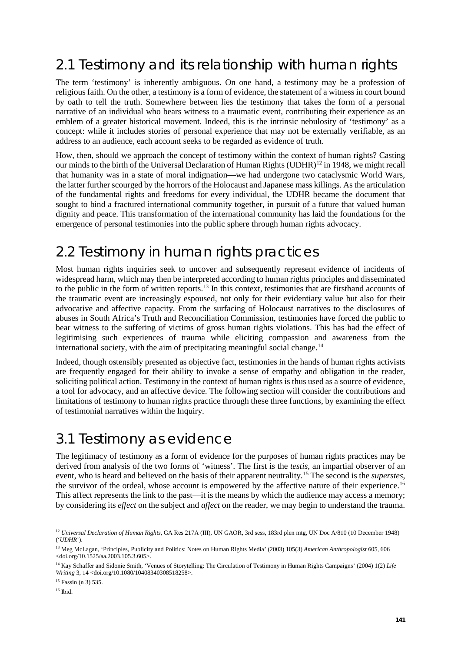# 2.1 Testimony and its relationship with human rights

The term 'testimony' is inherently ambiguous. On one hand, a testimony may be a profession of religious faith. On the other, a testimony is a form of evidence, the statement of a witness in court bound by oath to tell the truth. Somewhere between lies the testimony that takes the form of a personal narrative of an individual who bears witness to a traumatic event, contributing their experience as an emblem of a greater historical movement. Indeed, this is the intrinsic nebulosity of 'testimony' as a concept: while it includes stories of personal experience that may not be externally verifiable, as an address to an audience, each account seeks to be regarded as evidence of truth.

How, then, should we approach the concept of testimony within the context of human rights? Casting our minds to the birth of the Universal Declaration of Human Rights (UDHR)<sup>[12](#page-2-0)</sup> in 1948, we might recall that humanity was in a state of moral indignation—we had undergone two cataclysmic World Wars, the latter further scourged by the horrors of the Holocaust and Japanese mass killings. As the articulation of the fundamental rights and freedoms for every individual, the UDHR became the document that sought to bind a fractured international community together, in pursuit of a future that valued human dignity and peace. This transformation of the international community has laid the foundations for the emergence of personal testimonies into the public sphere through human rights advocacy.

# 2.2 Testimony in human rights practices

Most human rights inquiries seek to uncover and subsequently represent evidence of incidents of widespread harm, which may then be interpreted according to human rights principles and disseminated to the public in the form of written reports.[13](#page-2-1) In this context, testimonies that are firsthand accounts of the traumatic event are increasingly espoused, not only for their evidentiary value but also for their advocative and affective capacity. From the surfacing of Holocaust narratives to the disclosures of abuses in South Africa's Truth and Reconciliation Commission, testimonies have forced the public to bear witness to the suffering of victims of gross human rights violations. This has had the effect of legitimising such experiences of trauma while eliciting compassion and awareness from the international society, with the aim of precipitating meaningful social change.<sup>[14](#page-2-2)</sup>

Indeed, though ostensibly presented as objective fact, testimonies in the hands of human rights activists are frequently engaged for their ability to invoke a sense of empathy and obligation in the reader, soliciting political action. Testimony in the context of human rights is thus used as a source of evidence, a tool for advocacy, and an affective device. The following section will consider the contributions and limitations of testimony to human rights practice through these three functions, by examining the effect of testimonial narratives within the Inquiry.

### 3.1 Testimony as evidence

The legitimacy of testimony as a form of evidence for the purposes of human rights practices may be derived from analysis of the two forms of 'witness'. The first is the *testis*, an impartial observer of an event, who is heard and believed on the basis of their apparent neutrality.[15](#page-2-3) The second is the *superstes*, the survivor of the ordeal, whose account is empowered by the affective nature of their experience.<sup>[16](#page-2-4)</sup> This affect represents the link to the past—it is the means by which the audience may access a memory; by considering its *effect* on the subject and *affect* on the reader, we may begin to understand the trauma.

<span id="page-2-0"></span><sup>12</sup> *Universal Declaration of Human Rights*, GA Res 217A (III), UN GAOR, 3rd sess, 183rd plen mtg, UN Doc A/810 (10 December 1948) ('*UDHR*').

<span id="page-2-1"></span><sup>13</sup> Meg McLagan, 'Principles, Publicity and Politics: Notes on Human Rights Media' (2003) 105(3) *American Anthropologist* 605, 606  $\leq$ doi.org/10.1525/aa.2003.105.3.605 $>$ .

<span id="page-2-2"></span><sup>14</sup> Kay Schaffer and Sidonie Smith, 'Venues of Storytelling: The Circulation of Testimony in Human Rights Campaigns' (2004) 1(2) *Life Writing* 3, 14 <doi.org/10.1080/10408340308518258>.

<span id="page-2-3"></span><sup>15</sup> Fassin (n 3) 535.

<span id="page-2-4"></span><sup>16</sup> Ibid.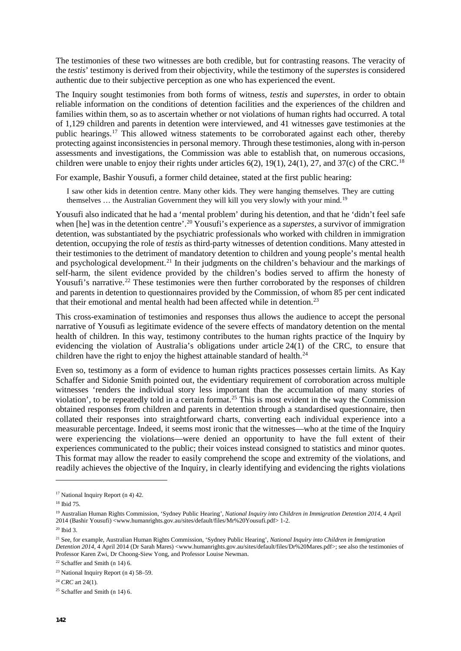The testimonies of these two witnesses are both credible, but for contrasting reasons. The veracity of the *testis*' testimony is derived from their objectivity, while the testimony of the *superstes* is considered authentic due to their subjective perception as one who has experienced the event.

The Inquiry sought testimonies from both forms of witness, *testis* and *superstes*, in order to obtain reliable information on the conditions of detention facilities and the experiences of the children and families within them, so as to ascertain whether or not violations of human rights had occurred. A total of 1,129 children and parents in detention were interviewed, and 41 witnesses gave testimonies at the public hearings.[17](#page-3-0) This allowed witness statements to be corroborated against each other, thereby protecting against inconsistencies in personal memory. Through these testimonies, along with in-person assessments and investigations, the Commission was able to establish that, on numerous occasions, children were unable to enjoy their rights under articles  $6(2)$ ,  $19(1)$ ,  $24(1)$ ,  $27$ , and  $37(c)$  of the CRC.<sup>[18](#page-3-1)</sup>

For example, Bashir Yousufi, a former child detainee, stated at the first public hearing:

I saw other kids in detention centre. Many other kids. They were hanging themselves. They are cutting themselves ... the Australian Government they will kill you very slowly with your mind.<sup>[19](#page-3-2)</sup>

Yousufi also indicated that he had a 'mental problem' during his detention, and that he 'didn't feel safe when [he] was in the detention centre'. [20](#page-3-3) Yousufi's experience as a *superstes*, a survivor of immigration detention, was substantiated by the psychiatric professionals who worked with children in immigration detention, occupying the role of *testis* as third-party witnesses of detention conditions. Many attested in their testimonies to the detriment of mandatory detention to children and young people's mental health and psychological development.<sup>[21](#page-3-4)</sup> In their judgments on the children's behaviour and the markings of self-harm, the silent evidence provided by the children's bodies served to affirm the honesty of Yousufi's narrative.<sup>[22](#page-3-5)</sup> These testimonies were then further corroborated by the responses of children and parents in detention to questionnaires provided by the Commission, of whom 85 per cent indicated that their emotional and mental health had been affected while in detention.<sup>[23](#page-3-6)</sup>

This cross-examination of testimonies and responses thus allows the audience to accept the personal narrative of Yousufi as legitimate evidence of the severe effects of mandatory detention on the mental health of children. In this way, testimony contributes to the human rights practice of the Inquiry by evidencing the violation of Australia's obligations under article 24(1) of the CRC, to ensure that children have the right to enjoy the highest attainable standard of health.<sup>[24](#page-3-7)</sup>

Even so, testimony as a form of evidence to human rights practices possesses certain limits. As Kay Schaffer and Sidonie Smith pointed out, the evidentiary requirement of corroboration across multiple witnesses 'renders the individual story less important than the accumulation of many stories of violation', to be repeatedly told in a certain format.[25](#page-3-8) This is most evident in the way the Commission obtained responses from children and parents in detention through a standardised questionnaire, then collated their responses into straightforward charts, converting each individual experience into a measurable percentage. Indeed, it seems most ironic that the witnesses—who at the time of the Inquiry were experiencing the violations—were denied an opportunity to have the full extent of their experiences communicated to the public; their voices instead consigned to statistics and minor quotes. This format may allow the reader to easily comprehend the scope and extremity of the violations, and readily achieves the objective of the Inquiry, in clearly identifying and evidencing the rights violations

<span id="page-3-0"></span> $17$  National Inquiry Report (n 4) 42.

<span id="page-3-1"></span><sup>18</sup> Ibid 75.

<span id="page-3-2"></span><sup>19</sup> Australian Human Rights Commission, 'Sydney Public Hearing', *National Inquiry into Children in Immigration Detention 2014*, 4 April 2014 (Bashir Yousufi) <www.humanrights.gov.au/sites/default/files/Mr%20Yousufi.pdf> 1-2.

<span id="page-3-3"></span> $20$  Ibid 3.

<span id="page-3-4"></span><sup>21</sup> See, for example, Australian Human Rights Commission, 'Sydney Public Hearing', *National Inquiry into Children in Immigration Detention 2014*, 4 April 2014 (Dr Sarah Mares) <www.humanrights.gov.au/sites/default/files/Dr%20Mares.pdf>; see also the testimonies of Professor Karen Zwi, Dr Choong-Siew Yong, and Professor Louise Newman.

<span id="page-3-5"></span><sup>&</sup>lt;sup>22</sup> Schaffer and Smith (n 14) 6.

<span id="page-3-6"></span><sup>&</sup>lt;sup>23</sup> National Inquiry Report (n 4)  $58-59$ .

<span id="page-3-7"></span><sup>24</sup> *CRC* art 24(1).

<span id="page-3-8"></span> $25$  Schaffer and Smith (n 14) 6.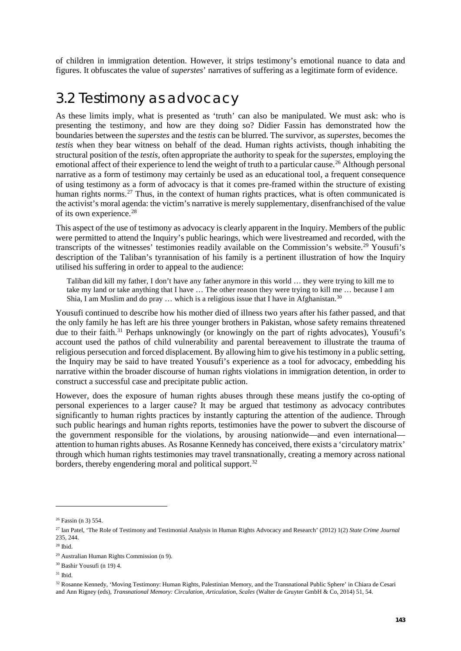of children in immigration detention. However, it strips testimony's emotional nuance to data and figures. It obfuscates the value of *superstes*' narratives of suffering as a legitimate form of evidence.

#### 3.2 Testimony as advocacy

As these limits imply, what is presented as 'truth' can also be manipulated. We must ask: who is presenting the testimony, and how are they doing so? Didier Fassin has demonstrated how the boundaries between the *superstes* and the *testis* can be blurred. The survivor, as *superstes*, becomes the *testis* when they bear witness on behalf of the dead. Human rights activists, though inhabiting the structural position of the *testis*, often appropriate the authority to speak for the *superstes*, employing the emotional affect of their experience to lend the weight of truth to a particular cause.<sup>[26](#page-4-0)</sup> Although personal narrative as a form of testimony may certainly be used as an educational tool, a frequent consequence of using testimony as a form of advocacy is that it comes pre-framed within the structure of existing human rights norms.<sup>[27](#page-4-1)</sup> Thus, in the context of human rights practices, what is often communicated is the activist's moral agenda: the victim's narrative is merely supplementary, disenfranchised of the value of its own experience.<sup>[28](#page-4-2)</sup>

This aspect of the use of testimony as advocacy is clearly apparent in the Inquiry. Members of the public were permitted to attend the Inquiry's public hearings, which were livestreamed and recorded, with the transcripts of the witnesses' testimonies readily available on the Commission's website.[29](#page-4-3) Yousufi's description of the Taliban's tyrannisation of his family is a pertinent illustration of how the Inquiry utilised his suffering in order to appeal to the audience:

Taliban did kill my father, I don't have any father anymore in this world … they were trying to kill me to take my land or take anything that I have … The other reason they were trying to kill me … because I am Shia, I am Muslim and do pray  $\dots$  which is a religious issue that I have in Afghanistan.<sup>[30](#page-4-4)</sup>

Yousufi continued to describe how his mother died of illness two years after his father passed, and that the only family he has left are his three younger brothers in Pakistan, whose safety remains threatened due to their faith.<sup>[31](#page-4-5)</sup> Perhaps unknowingly (or knowingly on the part of rights advocates), Yousufi's account used the pathos of child vulnerability and parental bereavement to illustrate the trauma of religious persecution and forced displacement. By allowing him to give his testimony in a public setting, the Inquiry may be said to have treated Yousufi's experience as a tool for advocacy, embedding his narrative within the broader discourse of human rights violations in immigration detention, in order to construct a successful case and precipitate public action.

However, does the exposure of human rights abuses through these means justify the co-opting of personal experiences to a larger cause? It may be argued that testimony as advocacy contributes significantly to human rights practices by instantly capturing the attention of the audience. Through such public hearings and human rights reports, testimonies have the power to subvert the discourse of the government responsible for the violations, by arousing nationwide—and even international attention to human rights abuses. As Rosanne Kennedy has conceived, there exists a 'circulatory matrix' through which human rights testimonies may travel transnationally, creating a memory across national borders, thereby engendering moral and political support.<sup>32</sup>

<span id="page-4-0"></span><sup>26</sup> Fassin (n 3) 554.

<span id="page-4-1"></span><sup>27</sup> Ian Patel, 'The Role of Testimony and Testimonial Analysis in Human Rights Advocacy and Research' (2012) 1(2) *State Crime Journal* 235, 244.

<span id="page-4-2"></span><sup>28</sup> Ibid.

<span id="page-4-3"></span><sup>29</sup> Australian Human Rights Commission (n 9).

<span id="page-4-4"></span><sup>30</sup> Bashir Yousufi (n 19) 4.

<span id="page-4-5"></span> $31$  Ibid.

<span id="page-4-6"></span><sup>32</sup> Rosanne Kennedy, 'Moving Testimony: Human Rights, Palestinian Memory, and the Transnational Public Sphere' in Chiara de Cesari and Ann Rigney (eds), *Transnational Memory: Circulation, Articulation, Scales* (Walter de Gruyter GmbH & Co, 2014) 51, 54.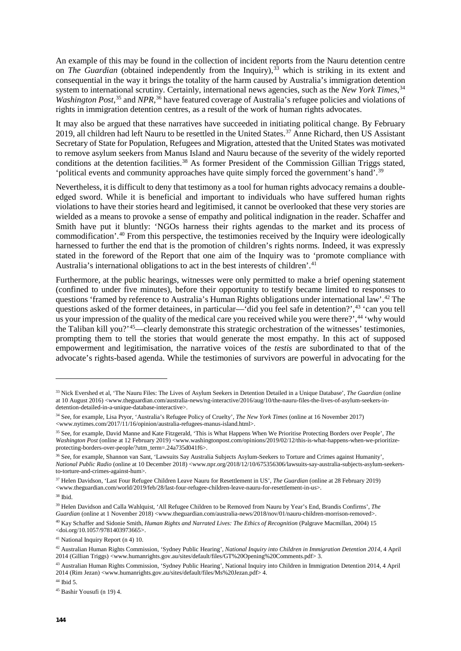An example of this may be found in the collection of incident reports from the Nauru detention centre on *The Guardian* (obtained independently from the Inquiry),<sup>[33](#page-5-0)</sup> which is striking in its extent and consequential in the way it brings the totality of the harm caused by Australia's immigration detention system to international scrutiny. Certainly, international news agencies, such as the *New York Times*, [34](#page-5-1) Washington Post,<sup>[35](#page-5-2)</sup> and *NPR*,<sup>[36](#page-5-3)</sup> have featured coverage of Australia's refugee policies and violations of rights in immigration detention centres, as a result of the work of human rights advocates.

It may also be argued that these narratives have succeeded in initiating political change. By February 2019, all children had left Nauru to be resettled in the United States. [37](#page-5-4) Anne Richard, then US Assistant Secretary of State for Population, Refugees and Migration, attested that the United States was motivated to remove asylum seekers from Manus Island and Nauru because of the severity of the widely reported conditions at the detention facilities.<sup>38</sup> As former President of the Commission Gillian Triggs stated, 'political events and community approaches have quite simply forced the government's hand'.<sup>[39](#page-5-6)</sup>

Nevertheless, it is difficult to deny that testimony as a tool for human rights advocacy remains a doubleedged sword. While it is beneficial and important to individuals who have suffered human rights violations to have their stories heard and legitimised, it cannot be overlooked that these very stories are wielded as a means to provoke a sense of empathy and political indignation in the reader. Schaffer and Smith have put it bluntly: 'NGOs harness their rights agendas to the market and its process of commodification'. [40](#page-5-7) From this perspective, the testimonies received by the Inquiry were ideologically harnessed to further the end that is the promotion of children's rights norms. Indeed, it was expressly stated in the foreword of the Report that one aim of the Inquiry was to 'promote compliance with Australia's international obligations to act in the best interests of children'. [41](#page-5-8)

Furthermore, at the public hearings, witnesses were only permitted to make a brief opening statement (confined to under five minutes), before their opportunity to testify became limited to responses to questions 'framed by reference to Australia's Human Rights obligations under international law'.<sup>[42](#page-5-9)</sup> The questions asked of the former detainees, in particular—'did you feel safe in detention?',<sup>[43](#page-5-10)</sup> 'can you tell us your impression of the quality of the medical care you received while you were there?',<sup>[44](#page-5-11)</sup> 'why would the Taliban kill you?'[45—](#page-5-12)clearly demonstrate this strategic orchestration of the witnesses' testimonies, prompting them to tell the stories that would generate the most empathy. In this act of supposed empowerment and legitimisation, the narrative voices of the *testis* are subordinated to that of the advocate's rights-based agenda. While the testimonies of survivors are powerful in advocating for the

<u>.</u>

<span id="page-5-7"></span><sup>40</sup> Kay Schaffer and Sidonie Smith, *Human Rights and Narrated Lives: The Ethics of Recognition* (Palgrave Macmillan, 2004) 15 <doi.org/10.1057/9781403973665>.

<span id="page-5-8"></span><sup>41</sup> National Inquiry Report (n 4) 10.

<span id="page-5-11"></span> $44$  Ibid 5.

<span id="page-5-0"></span><sup>33</sup> Nick Evershed et al, 'The Nauru Files: The Lives of Asylum Seekers in Detention Detailed in a Unique Database', *The Guardian* (online at 10 August 2016) <www.theguardian.com/australia-news/ng-interactive/2016/aug/10/the-nauru-files-the-lives-of-asylum-seekers-indetention-detailed-in-a-unique-database-interactive>.

<span id="page-5-1"></span><sup>34</sup> See, for example, Lisa Pryor, 'Australia's Refugee Policy of Cruelty', *The New York Times* (online at 16 November 2017) <www.nytimes.com/2017/11/16/opinion/australia-refugees-manus-island.html>.

<span id="page-5-2"></span><sup>35</sup> See, for example, David Manne and Kate Fitzgerald, 'This is What Happens When We Prioritise Protecting Borders over People', *The Washington Post* (online at 12 February 2019) <www.washingtonpost.com/opinions/2019/02/12/this-is-what-happens-when-we-prioritizeprotecting-borders-over-people/?utm\_term=.24a735d041f6>.

<span id="page-5-3"></span><sup>36</sup> See, for example, Shannon van Sant, 'Lawsuits Say Australia Subjects Asylum-Seekers to Torture and Crimes against Humanity', *National Public Radio* (online at 10 December 2018) <www.npr.org/2018/12/10/675356306/lawsuits-say-australia-subjects-asylum-seekersto-torture-and-crimes-against-hum>.

<span id="page-5-4"></span><sup>37</sup> Helen Davidson, 'Last Four Refugee Children Leave Nauru for Resettlement in US', *The Guardian* (online at 28 February 2019) <www.theguardian.com/world/2019/feb/28/last-four-refugee-children-leave-nauru-for-resettlement-in-us>.

<span id="page-5-5"></span><sup>38</sup> Ibid.

<span id="page-5-6"></span><sup>39</sup> Helen Davidson and Calla Wahlquist, 'All Refugee Children to be Removed from Nauru by Year's End, Brandis Confirms', *The Guardian* (online at 1 November 2018) <www.theguardian.com/australia-news/2018/nov/01/nauru-children-morrison-removed>.

<span id="page-5-9"></span><sup>42</sup> Australian Human Rights Commission, 'Sydney Public Hearing', *National Inquiry into Children in Immigration Detention 2014*, 4 April 2014 (Gillian Triggs) <www.humanrights.gov.au/sites/default/files/GT%20Opening%20Comments.pdf> 3.

<span id="page-5-10"></span><sup>43</sup> Australian Human Rights Commission, 'Sydney Public Hearing', National Inquiry into Children in Immigration Detention 2014, 4 April 2014 (Rim Jezan) <www.humanrights.gov.au/sites/default/files/Ms%20Jezan.pdf> 4.

<span id="page-5-12"></span><sup>45</sup> Bashir Yousufi (n 19) 4.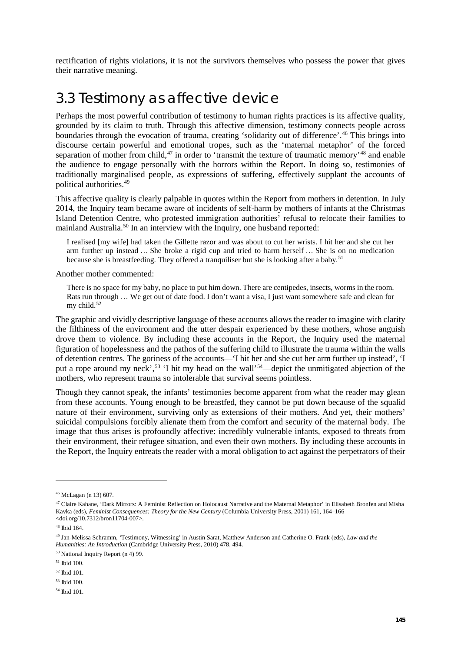rectification of rights violations, it is not the survivors themselves who possess the power that gives their narrative meaning.

### 3.3 Testimony as affective device

Perhaps the most powerful contribution of testimony to human rights practices is its affective quality, grounded by its claim to truth. Through this affective dimension, testimony connects people across boundaries through the evocation of trauma, creating 'solidarity out of difference'. [46](#page-6-0) This brings into discourse certain powerful and emotional tropes, such as the 'maternal metaphor' of the forced separation of mother from child,<sup>[47](#page-6-1)</sup> in order to 'transmit the texture of traumatic memory'<sup>[48](#page-6-2)</sup> and enable the audience to engage personally with the horrors within the Report. In doing so, testimonies of traditionally marginalised people, as expressions of suffering, effectively supplant the accounts of political authorities[.49](#page-6-3)

This affective quality is clearly palpable in quotes within the Report from mothers in detention. In July 2014, the Inquiry team became aware of incidents of self-harm by mothers of infants at the Christmas Island Detention Centre, who protested immigration authorities' refusal to relocate their families to mainland Australia.<sup>[50](#page-6-4)</sup> In an interview with the Inquiry, one husband reported:

I realised [my wife] had taken the Gillette razor and was about to cut her wrists. I hit her and she cut her arm further up instead … She broke a rigid cup and tried to harm herself … She is on no medication because she is breastfeeding. They offered a tranquiliser but she is looking after a baby.<sup>[51](#page-6-5)</sup>

Another mother commented:

There is no space for my baby, no place to put him down. There are centipedes, insects, worms in the room. Rats run through … We get out of date food. I don't want a visa, I just want somewhere safe and clean for my child. $52$ 

The graphic and vividly descriptive language of these accounts allows the reader to imagine with clarity the filthiness of the environment and the utter despair experienced by these mothers, whose anguish drove them to violence. By including these accounts in the Report, the Inquiry used the maternal figuration of hopelessness and the pathos of the suffering child to illustrate the trauma within the walls of detention centres. The goriness of the accounts—'I hit her and she cut her arm further up instead', 'I put a rope around my neck',<sup>[53](#page-6-7)</sup> 'I hit my head on the wall'<sup>[54](#page-6-8)</sup>—depict the unmitigated abjection of the mothers, who represent trauma so intolerable that survival seems pointless.

Though they cannot speak, the infants' testimonies become apparent from what the reader may glean from these accounts. Young enough to be breastfed, they cannot be put down because of the squalid nature of their environment, surviving only as extensions of their mothers. And yet, their mothers' suicidal compulsions forcibly alienate them from the comfort and security of the maternal body. The image that thus arises is profoundly affective: incredibly vulnerable infants, exposed to threats from their environment, their refugee situation, and even their own mothers. By including these accounts in the Report, the Inquiry entreats the reader with a moral obligation to act against the perpetrators of their

<span id="page-6-0"></span><sup>46</sup> McLagan (n 13) 607.

<span id="page-6-1"></span><sup>47</sup> Claire Kahane, 'Dark Mirrors: A Feminist Reflection on Holocaust Narrative and the Maternal Metaphor' in Elisabeth Bronfen and Misha Kavka (eds), *Feminist Consequences: Theory for the New Century* (Columbia University Press, 2001) 161, 164–166 <doi.org/10.7312/bron11704-007>.

<sup>48</sup> Ibid 164.

<span id="page-6-3"></span><span id="page-6-2"></span><sup>49</sup> Jan-Melissa Schramm, 'Testimony, Witnessing' in Austin Sarat, Matthew Anderson and Catherine O. Frank (eds), *Law and the Humanities: An Introduction* (Cambridge University Press, 2010) 478, 494.

<span id="page-6-4"></span><sup>50</sup> National Inquiry Report (n 4) 99.

<span id="page-6-5"></span><sup>51</sup> Ibid 100.

<span id="page-6-6"></span><sup>52</sup> Ibid 101.

<span id="page-6-7"></span><sup>53</sup> Ibid 100.

<span id="page-6-8"></span><sup>54</sup> Ibid 101.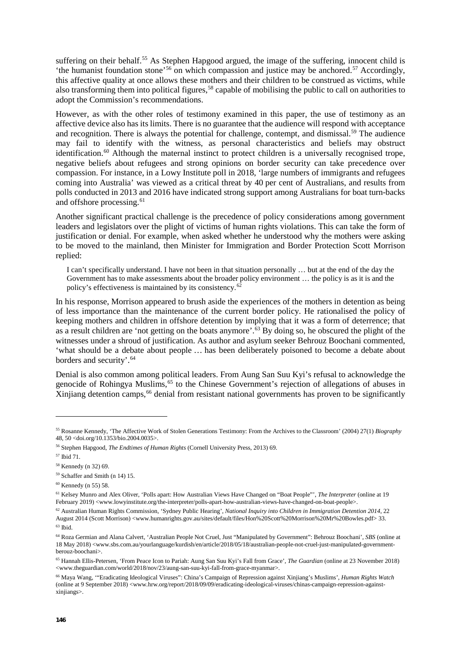suffering on their behalf.<sup>55</sup> As Stephen Hapgood argued, the image of the suffering, innocent child is 'the humanist foundation stone'<sup>56</sup> on which compassion and justice may be anchored.<sup>[57](#page-7-2)</sup> Accordingly, this affective quality at once allows these mothers and their children to be construed as victims, while also transforming them into political figures,<sup>[58](#page-7-3)</sup> capable of mobilising the public to call on authorities to adopt the Commission's recommendations.

However, as with the other roles of testimony examined in this paper, the use of testimony as an affective device also has its limits. There is no guarantee that the audience will respond with acceptance and recognition. There is always the potential for challenge, contempt, and dismissal.<sup>[59](#page-7-4)</sup> The audience may fail to identify with the witness, as personal characteristics and beliefs may obstruct identification.<sup>[60](#page-7-5)</sup> Although the maternal instinct to protect children is a universally recognised trope, negative beliefs about refugees and strong opinions on border security can take precedence over compassion. For instance, in a Lowy Institute poll in 2018, 'large numbers of immigrants and refugees coming into Australia' was viewed as a critical threat by 40 per cent of Australians, and results from polls conducted in 2013 and 2016 have indicated strong support among Australians for boat turn-backs and offshore processing. [61](#page-7-6)

Another significant practical challenge is the precedence of policy considerations among government leaders and legislators over the plight of victims of human rights violations. This can take the form of justification or denial. For example, when asked whether he understood why the mothers were asking to be moved to the mainland, then Minister for Immigration and Border Protection Scott Morrison replied:

I can't specifically understand. I have not been in that situation personally … but at the end of the day the Government has to make assessments about the broader policy environment … the policy is as it is and the policy's effectiveness is maintained by its consistency.[62](#page-7-7)

In his response, Morrison appeared to brush aside the experiences of the mothers in detention as being of less importance than the maintenance of the current border policy. He rationalised the policy of keeping mothers and children in offshore detention by implying that it was a form of deterrence; that as a result children are 'not getting on the boats anymore'. [63](#page-7-8) By doing so, he obscured the plight of the witnesses under a shroud of justification. As author and asylum seeker Behrouz Boochani commented, 'what should be a debate about people … has been deliberately poisoned to become a debate about borders and security'. [64](#page-7-9)

Denial is also common among political leaders. From Aung San Suu Kyi's refusal to acknowledge the genocide of Rohingya Muslims,<sup>65</sup> to the Chinese Government's rejection of allegations of abuses in Xinjiang detention camps,<sup>[66](#page-7-11)</sup> denial from resistant national governments has proven to be significantly

<u>.</u>

<span id="page-7-0"></span><sup>55</sup> Rosanne Kennedy, 'The Affective Work of Stolen Generations Testimony: From the Archives to the Classroom' (2004) 27(1) *Biography* 48, 50 <doi.org/10.1353/bio.2004.0035>.

<span id="page-7-1"></span><sup>56</sup> Stephen Hapgood, *The Endtimes of Human Rights* (Cornell University Press, 2013) 69.

<span id="page-7-2"></span><sup>57</sup> Ibid 71.

<span id="page-7-3"></span><sup>58</sup> Kennedy (n 32) 69.

<span id="page-7-4"></span><sup>59</sup> Schaffer and Smith (n 14) 15.

<span id="page-7-5"></span><sup>60</sup> Kennedy (n 55) 58.

<span id="page-7-6"></span><sup>61</sup> Kelsey Munro and Alex Oliver, 'Polls apart: How Australian Views Have Changed on "Boat People"', *The Interpreter* (online at 19 February 2019) <www.lowyinstitute.org/the-interpreter/polls-apart-how-australian-views-have-changed-on-boat-people>.

<span id="page-7-7"></span><sup>62</sup> Australian Human Rights Commission, 'Sydney Public Hearing', *National Inquiry into Children in Immigration Detention 2014*, 22 August 2014 (Scott Morrison) <www.humanrights.gov.au/sites/default/files/Hon%20Scott%20Morrison%20Mr%20Bowles.pdf> 33.  $63$  Ibid.

<span id="page-7-9"></span><span id="page-7-8"></span><sup>64</sup> Roza Germian and Alana Calvert, 'Australian People Not Cruel, Just "Manipulated by Government": Behrouz Boochani', *SBS* (online at 18 May 2018) <www.sbs.com.au/yourlanguage/kurdish/en/article/2018/05/18/australian-people-not-cruel-just-manipulated-governmentberouz-boochani>.

<span id="page-7-10"></span><sup>65</sup> Hannah Ellis-Petersen, 'From Peace Icon to Pariah: Aung San Suu Kyi's Fall from Grace', *The Guardian* (online at 23 November 2018) <www.theguardian.com/world/2018/nov/23/aung-san-suu-kyi-fall-from-grace-myanmar>.

<span id="page-7-11"></span><sup>66</sup> Maya Wang, '"Eradicating Ideological Viruses": China's Campaign of Repression against Xinjiang's Muslims', *Human Rights Watch* (online at 9 September 2018) <www.hrw.org/report/2018/09/09/eradicating-ideological-viruses/chinas-campaign-repression-againstxinjiangs>.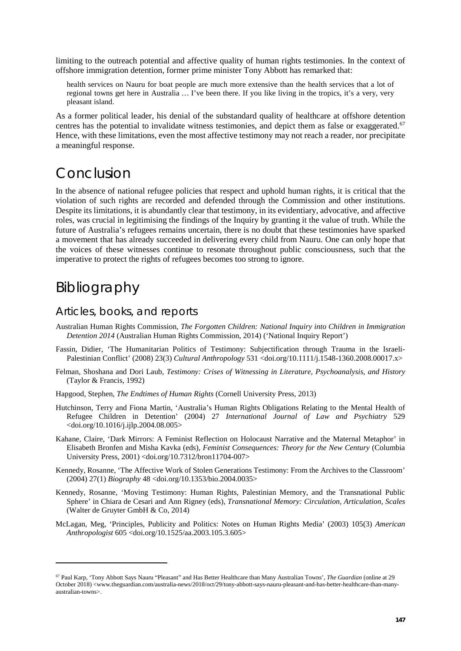limiting to the outreach potential and affective quality of human rights testimonies. In the context of offshore immigration detention, former prime minister Tony Abbott has remarked that:

health services on Nauru for boat people are much more extensive than the health services that a lot of regional towns get here in Australia … I've been there. If you like living in the tropics, it's a very, very pleasant island.

As a former political leader, his denial of the substandard quality of healthcare at offshore detention centres has the potential to invalidate witness testimonies, and depict them as false or exaggerated.<sup>[67](#page-8-0)</sup> Hence, with these limitations, even the most affective testimony may not reach a reader, nor precipitate a meaningful response.

### Conclusion

In the absence of national refugee policies that respect and uphold human rights, it is critical that the violation of such rights are recorded and defended through the Commission and other institutions. Despite its limitations, it is abundantly clear that testimony, in its evidentiary, advocative, and affective roles, was crucial in legitimising the findings of the Inquiry by granting it the value of truth. While the future of Australia's refugees remains uncertain, there is no doubt that these testimonies have sparked a movement that has already succeeded in delivering every child from Nauru. One can only hope that the voices of these witnesses continue to resonate throughout public consciousness, such that the imperative to protect the rights of refugees becomes too strong to ignore.

# Bibliography

<u>.</u>

#### Articles, books, and reports

- Australian Human Rights Commission, *The Forgotten Children: National Inquiry into Children in Immigration Detention 2014* (Australian Human Rights Commission, 2014) ('National Inquiry Report')
- Fassin, Didier, 'The Humanitarian Politics of Testimony: Subjectification through Trauma in the Israeli-Palestinian Conflict' (2008) 23(3) *Cultural Anthropology* 531 <doi.org/10.1111/j.1548-1360.2008.00017.x>
- Felman, Shoshana and Dori Laub, *Testimony: Crises of Witnessing in Literature, Psychoanalysis, and History* (Taylor & Francis, 1992)
- Hapgood, Stephen, *The Endtimes of Human Rights* (Cornell University Press, 2013)
- Hutchinson, Terry and Fiona Martin, 'Australia's Human Rights Obligations Relating to the Mental Health of Refugee Children in Detention' (2004) 27 *International Journal of Law and Psychiatry* 529 <doi.org/10.1016/j.ijlp.2004.08.005>
- Kahane, Claire, 'Dark Mirrors: A Feminist Reflection on Holocaust Narrative and the Maternal Metaphor' in Elisabeth Bronfen and Misha Kavka (eds), *Feminist Consequences: Theory for the New Century* (Columbia University Press, 2001) <doi.org/10.7312/bron11704-007>
- Kennedy, Rosanne, 'The Affective Work of Stolen Generations Testimony: From the Archives to the Classroom' (2004) 27(1) *Biography* 48 <doi.org/10.1353/bio.2004.0035>
- Kennedy, Rosanne, 'Moving Testimony: Human Rights, Palestinian Memory, and the Transnational Public Sphere' in Chiara de Cesari and Ann Rigney (eds), *Transnational Memory: Circulation, Articulation, Scales* (Walter de Gruyter GmbH & Co, 2014)
- McLagan, Meg, 'Principles, Publicity and Politics: Notes on Human Rights Media' (2003) 105(3) *American Anthropologist* 605 <doi.org/10.1525/aa.2003.105.3.605>

<span id="page-8-0"></span><sup>67</sup> Paul Karp, 'Tony Abbott Says Nauru "Pleasant" and Has Better Healthcare than Many Australian Towns', *The Guardian* (online at 29 October 2018) <www.theguardian.com/australia-news/2018/oct/29/tony-abbott-says-nauru-pleasant-and-has-better-healthcare-than-manyaustralian-towns>.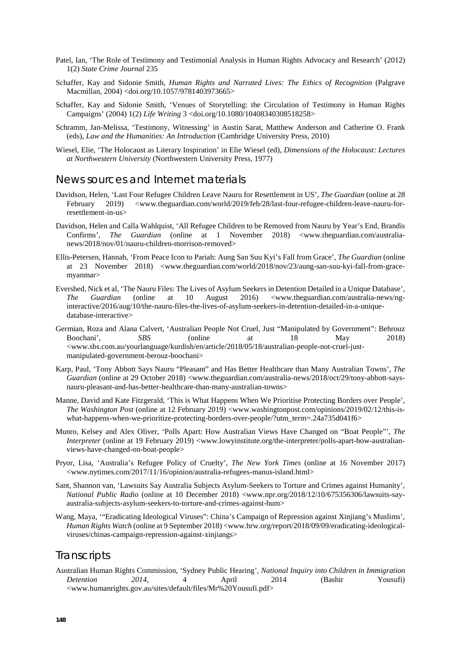- Patel, Ian, 'The Role of Testimony and Testimonial Analysis in Human Rights Advocacy and Research' (2012) 1(2) *State Crime Journal* 235
- Schaffer, Kay and Sidonie Smith, *Human Rights and Narrated Lives: The Ethics of Recognition* (Palgrave Macmillan, 2004) <doi.org/10.1057/9781403973665>
- Schaffer, Kay and Sidonie Smith, 'Venues of Storytelling: the Circulation of Testimony in Human Rights Campaigns' (2004) 1(2) *Life Writing* 3 <doi.org/10.1080/10408340308518258>
- Schramm, Jan-Melissa, 'Testimony, Witnessing' in Austin Sarat, Matthew Anderson and Catherine O. Frank (eds), *Law and the Humanities: An Introduction* (Cambridge University Press, 2010)
- Wiesel, Elie, 'The Holocaust as Literary Inspiration' in Elie Wiesel (ed), *Dimensions of the Holocaust: Lectures at Northwestern University* (Northwestern University Press, 1977)

#### News sources and Internet materials

- Davidson, Helen, 'Last Four Refugee Children Leave Nauru for Resettlement in US', *The Guardian* (online at 28 February 2019) <www.theguardian.com/world/2019/feb/28/last-four-refugee-children-leave-nauru-forresettlement-in-us>
- Davidson, Helen and Calla Wahlquist, 'All Refugee Children to be Removed from Nauru by Year's End, Brandis Confirms', *The Guardian* (online at 1 November 2018) <www.theguardian.com/australianews/2018/nov/01/nauru-children-morrison-removed>
- Ellis-Petersen, Hannah, 'From Peace Icon to Pariah: Aung San Suu Kyi's Fall from Grace', *The Guardian* (online at 23 November 2018) <www.theguardian.com/world/2018/nov/23/aung-san-suu-kyi-fall-from-gracemyanmar>
- Evershed, Nick et al, 'The Nauru Files: The Lives of Asylum Seekers in Detention Detailed in a Unique Database', *The Guardian* (online at 10 August 2016) <www.theguardian.com/australia-news/nginteractive/2016/aug/10/the-nauru-files-the-lives-of-asylum-seekers-in-detention-detailed-in-a-uniquedatabase-interactive>
- Germian, Roza and Alana Calvert, 'Australian People Not Cruel, Just "Manipulated by Government": Behrouz Boochani', *SBS* (online at 18 May 2018) <www.sbs.com.au/yourlanguage/kurdish/en/article/2018/05/18/australian-people-not-cruel-justmanipulated-government-berouz-boochani>
- Karp, Paul, 'Tony Abbott Says Nauru "Pleasant" and Has Better Healthcare than Many Australian Towns', *The Guardian* (online at 29 October 2018) <www.theguardian.com/australia-news/2018/oct/29/tony-abbott-saysnauru-pleasant-and-has-better-healthcare-than-many-australian-towns>
- Manne, David and Kate Fitzgerald, 'This is What Happens When We Prioritise Protecting Borders over People', *The Washington Post* (online at 12 February 2019) <www.washingtonpost.com/opinions/2019/02/12/this-iswhat-happens-when-we-prioritize-protecting-borders-over-people/?utm\_term=.24a735d041f6>
- Munro, Kelsey and Alex Oliver, 'Polls Apart: How Australian Views Have Changed on "Boat People"', *The Interpreter* (online at 19 February 2019) <www.lowyinstitute.org/the-interpreter/polls-apart-how-australianviews-have-changed-on-boat-people>
- Pryor, Lisa, 'Australia's Refugee Policy of Cruelty', *The New York Times* (online at 16 November 2017) <www.nytimes.com/2017/11/16/opinion/australia-refugees-manus-island.html>
- Sant, Shannon van, 'Lawsuits Say Australia Subjects Asylum-Seekers to Torture and Crimes against Humanity', *National Public Radio* (online at 10 December 2018) <www.npr.org/2018/12/10/675356306/lawsuits-sayaustralia-subjects-asylum-seekers-to-torture-and-crimes-against-hum>
- Wang, Maya, '"Eradicating Ideological Viruses": China's Campaign of Repression against Xinjiang's Muslims', *Human Rights Watch* (online at 9 September 2018) <www.hrw.org/report/2018/09/09/eradicating-ideologicalviruses/chinas-campaign-repression-against-xinjiangs>

#### **Transcripts**

Australian Human Rights Commission, 'Sydney Public Hearing', *National Inquiry into Children in Immigration Detention 2014*, 4 April 2014 (Bashir Yousufi) <www.humanrights.gov.au/sites/default/files/Mr%20Yousufi.pdf>